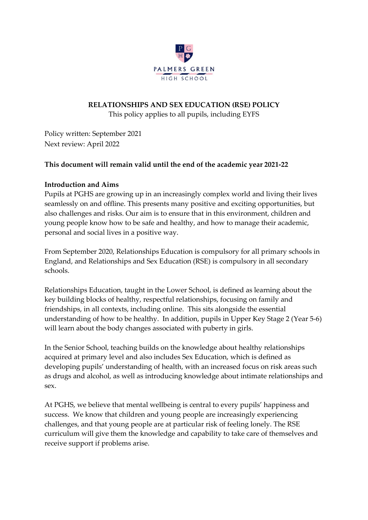

## **RELATIONSHIPS AND SEX EDUCATION (RSE) POLICY**

This policy applies to all pupils, including EYFS

Policy written: September 2021 Next review: April 2022

# **This document will remain valid until the end of the academic year 2021-22**

## **Introduction and Aims**

Pupils at PGHS are growing up in an increasingly complex world and living their lives seamlessly on and offline. This presents many positive and exciting opportunities, but also challenges and risks. Our aim is to ensure that in this environment, children and young people know how to be safe and healthy, and how to manage their academic, personal and social lives in a positive way.

From September 2020, Relationships Education is compulsory for all primary schools in England, and Relationships and Sex Education (RSE) is compulsory in all secondary schools.

Relationships Education, taught in the Lower School, is defined as learning about the key building blocks of healthy, respectful relationships, focusing on family and friendships, in all contexts, including online. This sits alongside the essential understanding of how to be healthy. In addition, pupils in Upper Key Stage 2 (Year 5-6) will learn about the body changes associated with puberty in girls.

In the Senior School, teaching builds on the knowledge about healthy relationships acquired at primary level and also includes Sex Education, which is defined as developing pupils' understanding of health, with an increased focus on risk areas such as drugs and alcohol, as well as introducing knowledge about intimate relationships and sex.

At PGHS, we believe that mental wellbeing is central to every pupils' happiness and success. We know that children and young people are increasingly experiencing challenges, and that young people are at particular risk of feeling lonely. The RSE curriculum will give them the knowledge and capability to take care of themselves and receive support if problems arise.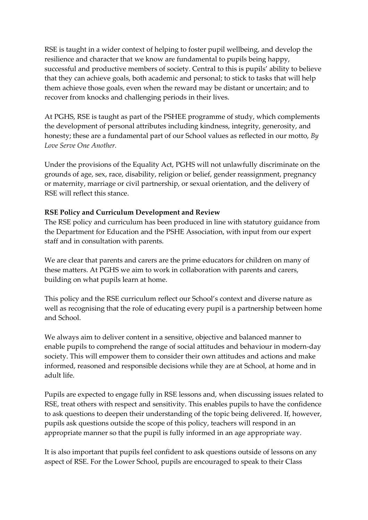RSE is taught in a wider context of helping to foster pupil wellbeing, and develop the resilience and character that we know are fundamental to pupils being happy, successful and productive members of society. Central to this is pupils' ability to believe that they can achieve goals, both academic and personal; to stick to tasks that will help them achieve those goals, even when the reward may be distant or uncertain; and to recover from knocks and challenging periods in their lives.

At PGHS, RSE is taught as part of the PSHEE programme of study, which complements the development of personal attributes including kindness, integrity, generosity, and honesty; these are a fundamental part of our School values as reflected in our motto, *By Love Serve One Another.*

Under the provisions of the Equality Act, PGHS will not unlawfully discriminate on the grounds of age, sex, race, disability, religion or belief, gender reassignment, pregnancy or maternity, marriage or civil partnership, or sexual orientation, and the delivery of RSE will reflect this stance.

## **RSE Policy and Curriculum Development and Review**

The RSE policy and curriculum has been produced in line with statutory guidance from the Department for Education and the PSHE Association, with input from our expert staff and in consultation with parents.

We are clear that parents and carers are the prime educators for children on many of these matters. At PGHS we aim to work in collaboration with parents and carers, building on what pupils learn at home.

This policy and the RSE curriculum reflect our School's context and diverse nature as well as recognising that the role of educating every pupil is a partnership between home and School.

We always aim to deliver content in a sensitive, objective and balanced manner to enable pupils to comprehend the range of social attitudes and behaviour in modern-day society. This will empower them to consider their own attitudes and actions and make informed, reasoned and responsible decisions while they are at School, at home and in adult life.

Pupils are expected to engage fully in RSE lessons and, when discussing issues related to RSE, treat others with respect and sensitivity. This enables pupils to have the confidence to ask questions to deepen their understanding of the topic being delivered. If, however, pupils ask questions outside the scope of this policy, teachers will respond in an appropriate manner so that the pupil is fully informed in an age appropriate way.

It is also important that pupils feel confident to ask questions outside of lessons on any aspect of RSE. For the Lower School, pupils are encouraged to speak to their Class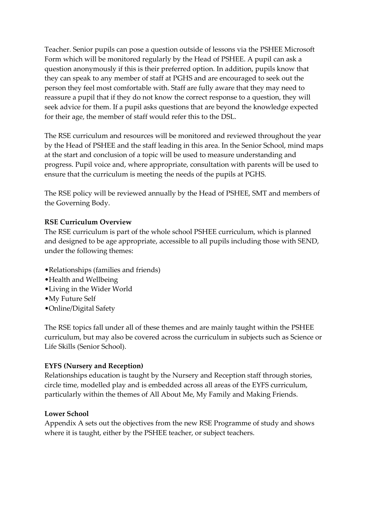Teacher. Senior pupils can pose a question outside of lessons via the PSHEE Microsoft Form which will be monitored regularly by the Head of PSHEE. A pupil can ask a question anonymously if this is their preferred option. In addition, pupils know that they can speak to any member of staff at PGHS and are encouraged to seek out the person they feel most comfortable with. Staff are fully aware that they may need to reassure a pupil that if they do not know the correct response to a question, they will seek advice for them. If a pupil asks questions that are beyond the knowledge expected for their age, the member of staff would refer this to the DSL.

The RSE curriculum and resources will be monitored and reviewed throughout the year by the Head of PSHEE and the staff leading in this area. In the Senior School, mind maps at the start and conclusion of a topic will be used to measure understanding and progress. Pupil voice and, where appropriate, consultation with parents will be used to ensure that the curriculum is meeting the needs of the pupils at PGHS.

The RSE policy will be reviewed annually by the Head of PSHEE, SMT and members of the Governing Body.

# **RSE Curriculum Overview**

The RSE curriculum is part of the whole school PSHEE curriculum, which is planned and designed to be age appropriate, accessible to all pupils including those with SEND, under the following themes:

- •Relationships (families and friends)
- •Health and Wellbeing
- •Living in the Wider World
- •My Future Self
- •Online/Digital Safety

The RSE topics fall under all of these themes and are mainly taught within the PSHEE curriculum, but may also be covered across the curriculum in subjects such as Science or Life Skills (Senior School).

# **EYFS (Nursery and Reception)**

Relationships education is taught by the Nursery and Reception staff through stories, circle time, modelled play and is embedded across all areas of the EYFS curriculum, particularly within the themes of All About Me, My Family and Making Friends.

# **Lower School**

Appendix A sets out the objectives from the new RSE Programme of study and shows where it is taught, either by the PSHEE teacher, or subject teachers.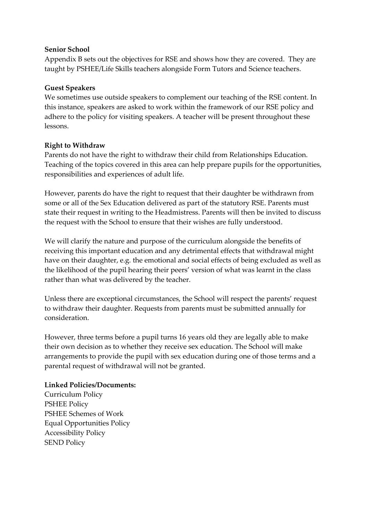#### **Senior School**

Appendix B sets out the objectives for RSE and shows how they are covered. They are taught by PSHEE/Life Skills teachers alongside Form Tutors and Science teachers.

## **Guest Speakers**

We sometimes use outside speakers to complement our teaching of the RSE content. In this instance, speakers are asked to work within the framework of our RSE policy and adhere to the policy for visiting speakers. A teacher will be present throughout these lessons.

# **Right to Withdraw**

Parents do not have the right to withdraw their child from Relationships Education. Teaching of the topics covered in this area can help prepare pupils for the opportunities, responsibilities and experiences of adult life.

However, parents do have the right to request that their daughter be withdrawn from some or all of the Sex Education delivered as part of the statutory RSE. Parents must state their request in writing to the Headmistress. Parents will then be invited to discuss the request with the School to ensure that their wishes are fully understood.

We will clarify the nature and purpose of the curriculum alongside the benefits of receiving this important education and any detrimental effects that withdrawal might have on their daughter, e.g. the emotional and social effects of being excluded as well as the likelihood of the pupil hearing their peers' version of what was learnt in the class rather than what was delivered by the teacher.

Unless there are exceptional circumstances, the School will respect the parents' request to withdraw their daughter. Requests from parents must be submitted annually for consideration.

However, three terms before a pupil turns 16 years old they are legally able to make their own decision as to whether they receive sex education. The School will make arrangements to provide the pupil with sex education during one of those terms and a parental request of withdrawal will not be granted.

# **Linked Policies/Documents:**

Curriculum Policy PSHEE Policy PSHEE Schemes of Work Equal Opportunities Policy Accessibility Policy SEND Policy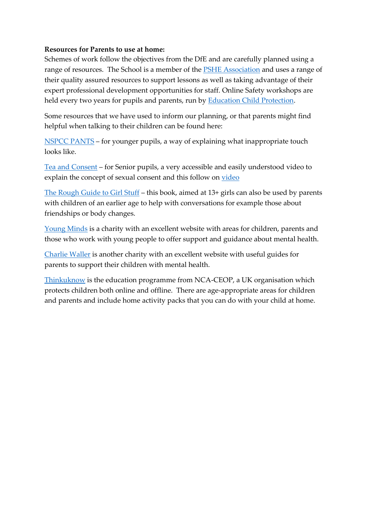#### **Resources for Parents to use at home:**

Schemes of work follow the objectives from the DfE and are carefully planned using a range of resources. The School is a member of the **PSHE** Association and uses a range of their quality assured resources to support lessons as well as taking advantage of their expert professional development opportunities for staff. Online Safety workshops are held every two years for pupils and parents, run by **Education Child Protection**.

Some resources that we have used to inform our planning, or that parents might find helpful when talking to their children can be found here:

[NSPCC PANTS](https://www.nspcc.org.uk/keeping-children-safe/support-for-parents/pants-underwear-rule/) – for younger pupils, a way of explaining what inappropriate touch looks like.

[Tea and Consent](https://www.youtube.com/watch?v=pZwvrxVavnQ) – for Senior pupils, a very accessible and easily understood video to explain the concept of sexual consent and this follow on [video](https://www.youtube.com/watch?v=FKT7Swb-qkI)

[The Rough Guide to Girl Stuff](https://www.amazon.co.uk/Rough-Guide-Girl-Stuff/dp/1848360185) – this book, aimed at 13+ girls can also be used by parents with children of an earlier age to help with conversations for example those about friendships or body changes.

[Young Minds](https://www.youngminds.org.uk/) is a charity with an excellent website with areas for children, parents and those who work with young people to offer support and guidance about mental health.

[Charlie Waller](https://charliewaller.org/parent-carer) is another charity with an excellent website with useful guides for parents to support their children with mental health.

[Thinkuknow](https://www.thinkuknow.co.uk/) is the education programme from NCA-CEOP, a UK organisation which protects children both online and offline. There are age-appropriate areas for children and parents and include home activity packs that you can do with your child at home.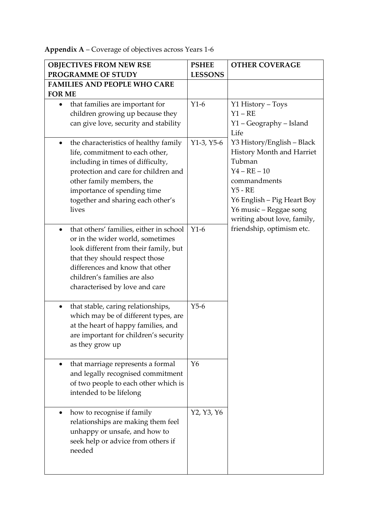**Appendix A** – Coverage of objectives across Years 1-6

|               | <b>OBJECTIVES FROM NEW RSE</b>                                                                                                                                                                                                                                  | <b>PSHEE</b>   | <b>OTHER COVERAGE</b>                                                                                                                                                                                   |
|---------------|-----------------------------------------------------------------------------------------------------------------------------------------------------------------------------------------------------------------------------------------------------------------|----------------|---------------------------------------------------------------------------------------------------------------------------------------------------------------------------------------------------------|
|               | PROGRAMME OF STUDY                                                                                                                                                                                                                                              | <b>LESSONS</b> |                                                                                                                                                                                                         |
|               | <b>FAMILIES AND PEOPLE WHO CARE</b>                                                                                                                                                                                                                             |                |                                                                                                                                                                                                         |
| <b>FOR ME</b> |                                                                                                                                                                                                                                                                 |                |                                                                                                                                                                                                         |
| $\bullet$     | that families are important for<br>children growing up because they<br>can give love, security and stability                                                                                                                                                    | $Y1-6$         | Y1 History – Toys<br>$Y1 - RE$<br>Y1 - Geography - Island<br>Life                                                                                                                                       |
| $\bullet$     | the characteristics of healthy family<br>life, commitment to each other,<br>including in times of difficulty,<br>protection and care for children and<br>other family members, the<br>importance of spending time<br>together and sharing each other's<br>lives | $Y1-3, Y5-6$   | Y3 History/English - Black<br>History Month and Harriet<br>Tubman<br>$Y4 - RE - 10$<br>commandments<br>$Y5 - RE$<br>Y6 English - Pig Heart Boy<br>Y6 music - Reggae song<br>writing about love, family, |
| $\bullet$     | that others' families, either in school<br>or in the wider world, sometimes<br>look different from their family, but<br>that they should respect those<br>differences and know that other<br>children's families are also<br>characterised by love and care     | $Y1-6$         | friendship, optimism etc.                                                                                                                                                                               |
| $\bullet$     | that stable, caring relationships,<br>which may be of different types, are<br>at the heart of happy families, and<br>are important for children's security<br>as they grow up                                                                                   | $Y5-6$         |                                                                                                                                                                                                         |
| $\bullet$     | that marriage represents a formal<br>and legally recognised commitment<br>of two people to each other which is<br>intended to be lifelong                                                                                                                       | $Y_6$          |                                                                                                                                                                                                         |
| $\bullet$     | how to recognise if family<br>relationships are making them feel<br>unhappy or unsafe, and how to<br>seek help or advice from others if<br>needed                                                                                                               | Y2, Y3, Y6     |                                                                                                                                                                                                         |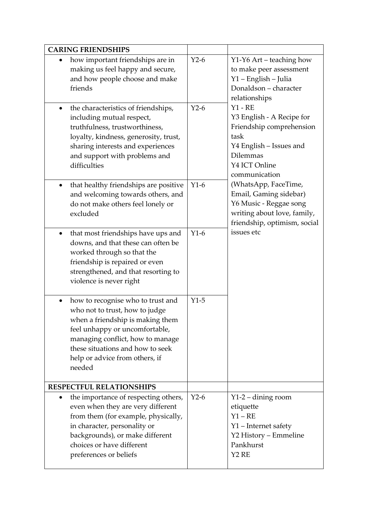| <b>CARING FRIENDSHIPS</b>                                                                                                                                                                                                                                                  |        |                                                                                                                                                                                                                                                                                                                                                                                                                                |
|----------------------------------------------------------------------------------------------------------------------------------------------------------------------------------------------------------------------------------------------------------------------------|--------|--------------------------------------------------------------------------------------------------------------------------------------------------------------------------------------------------------------------------------------------------------------------------------------------------------------------------------------------------------------------------------------------------------------------------------|
| how important friendships are in<br>making us feel happy and secure,<br>and how people choose and make<br>friends                                                                                                                                                          | $Y2-6$ | Y1-Y6 Art – teaching how<br>to make peer assessment<br>Y1 - English - Julia<br>Donaldson - character<br>relationships<br>$Y1 - RE$<br>Y3 English - A Recipe for<br>Friendship comprehension<br>task<br>Y4 English - Issues and<br><b>Dilemmas</b><br>Y4 ICT Online<br>communication<br>(WhatsApp, FaceTime,<br>Email, Gaming sidebar)<br>Y6 Music - Reggae song<br>writing about love, family,<br>friendship, optimism, social |
| the characteristics of friendships,<br>$\bullet$<br>including mutual respect,<br>truthfulness, trustworthiness,<br>loyalty, kindness, generosity, trust,<br>sharing interests and experiences<br>and support with problems and<br>difficulties                             | $Y2-6$ |                                                                                                                                                                                                                                                                                                                                                                                                                                |
| that healthy friendships are positive<br>$\bullet$<br>and welcoming towards others, and<br>do not make others feel lonely or<br>excluded                                                                                                                                   | $Y1-6$ |                                                                                                                                                                                                                                                                                                                                                                                                                                |
| that most friendships have ups and<br>$\bullet$<br>downs, and that these can often be<br>worked through so that the<br>friendship is repaired or even<br>strengthened, and that resorting to<br>violence is never right                                                    | $Y1-6$ | issues etc                                                                                                                                                                                                                                                                                                                                                                                                                     |
| how to recognise who to trust and<br>$\bullet$<br>who not to trust, how to judge<br>when a friendship is making them<br>feel unhappy or uncomfortable,<br>managing conflict, how to manage<br>these situations and how to seek<br>help or advice from others, if<br>needed | $Y1-5$ |                                                                                                                                                                                                                                                                                                                                                                                                                                |
| RESPECTFUL RELATIONSHIPS                                                                                                                                                                                                                                                   |        |                                                                                                                                                                                                                                                                                                                                                                                                                                |
| the importance of respecting others,<br>$\bullet$<br>even when they are very different<br>from them (for example, physically,<br>in character, personality or<br>backgrounds), or make different<br>choices or have different<br>preferences or beliefs                    | $Y2-6$ | $Y1-2$ – dining room<br>etiquette<br>$Y1 - RE$<br>Y1 - Internet safety<br>Y2 History - Emmeline<br>Pankhurst<br>Y <sub>2</sub> R <sub>E</sub>                                                                                                                                                                                                                                                                                  |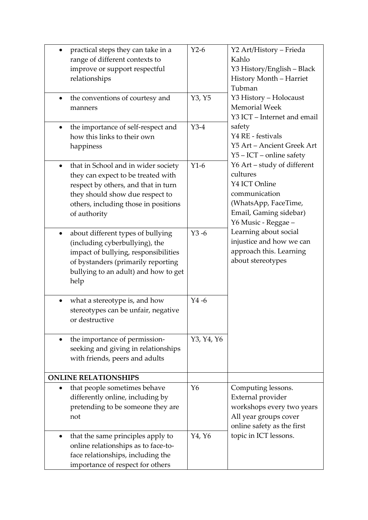| practical steps they can take in a<br>$\bullet$<br>range of different contexts to<br>improve or support respectful<br>relationships<br>the conventions of courtesy and<br>$\bullet$<br>manners<br>the importance of self-respect and<br>$\bullet$ | $Y2-6$<br>Y3, Y5<br>$Y3-4$ | Y2 Art/History - Frieda<br>Kahlo<br>Y3 History/English - Black<br>History Month - Harriet<br>Tubman<br>Y3 History - Holocaust<br><b>Memorial Week</b><br>Y3 ICT - Internet and email<br>safety |
|---------------------------------------------------------------------------------------------------------------------------------------------------------------------------------------------------------------------------------------------------|----------------------------|------------------------------------------------------------------------------------------------------------------------------------------------------------------------------------------------|
| how this links to their own<br>happiness                                                                                                                                                                                                          |                            | Y4 RE - festivals<br>Y5 Art - Ancient Greek Art<br>$Y5 - ICT$ – online safety                                                                                                                  |
| that in School and in wider society<br>$\bullet$<br>they can expect to be treated with<br>respect by others, and that in turn<br>they should show due respect to<br>others, including those in positions<br>of authority                          | $Y1-6$                     | Y6 Art - study of different<br>cultures<br>Y4 ICT Online<br>communication<br>(WhatsApp, FaceTime,<br>Email, Gaming sidebar)<br>Y6 Music - Reggae -                                             |
| about different types of bullying<br>(including cyberbullying), the<br>impact of bullying, responsibilities<br>of bystanders (primarily reporting<br>bullying to an adult) and how to get<br>help                                                 | $Y3 - 6$                   | Learning about social<br>injustice and how we can<br>approach this. Learning<br>about stereotypes                                                                                              |
| what a stereotype is, and how<br>stereotypes can be unfair, negative<br>or destructive                                                                                                                                                            | $Y4 - 6$                   |                                                                                                                                                                                                |
| the importance of permission-<br>$\bullet$<br>seeking and giving in relationships<br>with friends, peers and adults                                                                                                                               | Y3, Y4, Y6                 |                                                                                                                                                                                                |
| <b>ONLINE RELATIONSHIPS</b>                                                                                                                                                                                                                       |                            |                                                                                                                                                                                                |
| that people sometimes behave<br>differently online, including by<br>pretending to be someone they are<br>not                                                                                                                                      | $Y_6$                      | Computing lessons.<br>External provider<br>workshops every two years<br>All year groups cover<br>online safety as the first                                                                    |
| that the same principles apply to<br>$\bullet$<br>online relationships as to face-to-<br>face relationships, including the<br>importance of respect for others                                                                                    | Y4, Y6                     | topic in ICT lessons.                                                                                                                                                                          |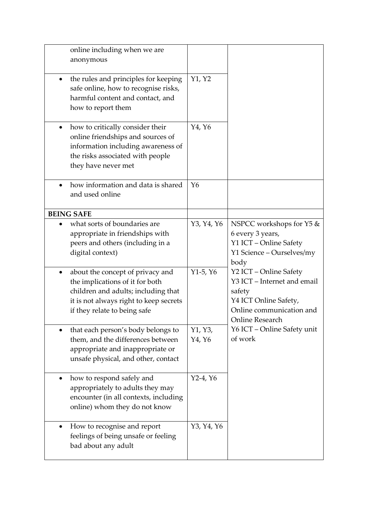| online including when we are<br>anonymous<br>the rules and principles for keeping<br>$\bullet$<br>safe online, how to recognise risks,<br>harmful content and contact, and<br>how to report them | Y1, Y2            |                                                                                                                                         |
|--------------------------------------------------------------------------------------------------------------------------------------------------------------------------------------------------|-------------------|-----------------------------------------------------------------------------------------------------------------------------------------|
| how to critically consider their<br>$\bullet$<br>online friendships and sources of<br>information including awareness of<br>the risks associated with people<br>they have never met              | Y4, Y6            |                                                                                                                                         |
| how information and data is shared<br>and used online                                                                                                                                            | $Y_6$             |                                                                                                                                         |
| <b>BEING SAFE</b>                                                                                                                                                                                |                   |                                                                                                                                         |
| what sorts of boundaries are<br>appropriate in friendships with<br>peers and others (including in a<br>digital context)                                                                          | Y3, Y4, Y6        | NSPCC workshops for Y5 &<br>6 every 3 years,<br>Y1 ICT - Online Safety<br>Y1 Science - Ourselves/my<br>body                             |
| about the concept of privacy and<br>the implications of it for both<br>children and adults; including that<br>it is not always right to keep secrets<br>if they relate to being safe             | $Y1-5, Y6$        | Y2 ICT - Online Safety<br>Y3 ICT - Internet and email<br>safety<br>Y4 ICT Online Safety,<br>Online communication and<br>Online Research |
| that each person's body belongs to<br>them, and the differences between<br>appropriate and inappropriate or<br>unsafe physical, and other, contact                                               | Y1, Y3,<br>Y4, Y6 | Y6 ICT - Online Safety unit<br>of work                                                                                                  |
| how to respond safely and<br>$\bullet$<br>appropriately to adults they may<br>encounter (in all contexts, including<br>online) whom they do not know                                             | $Y2-4, Y6$        |                                                                                                                                         |
| How to recognise and report<br>$\bullet$<br>feelings of being unsafe or feeling<br>bad about any adult                                                                                           | Y3, Y4, Y6        |                                                                                                                                         |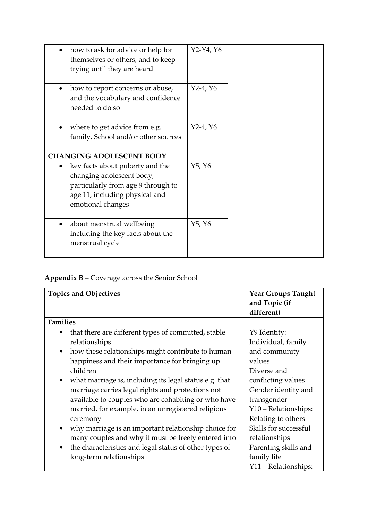| how to ask for advice or help for<br>themselves or others, and to keep<br>trying until they are heard                                                     | $Y2-Y4, Y6$ |
|-----------------------------------------------------------------------------------------------------------------------------------------------------------|-------------|
| how to report concerns or abuse,<br>$\bullet$<br>and the vocabulary and confidence<br>needed to do so                                                     | $Y2-4, Y6$  |
| where to get advice from e.g.<br>family, School and/or other sources                                                                                      | $Y2-4, Y6$  |
| <b>CHANGING ADOLESCENT BODY</b>                                                                                                                           |             |
| key facts about puberty and the<br>changing adolescent body,<br>particularly from age 9 through to<br>age 11, including physical and<br>emotional changes | Y5, Y6      |
| about menstrual wellbeing<br>including the key facts about the<br>menstrual cycle                                                                         | Y5, Y6      |

# **Appendix B** – Coverage across the Senior School

| <b>Topics and Objectives</b>                                                                                                                                                                                                                      | <b>Year Groups Taught</b><br>and Topic (if<br>different)                                               |
|---------------------------------------------------------------------------------------------------------------------------------------------------------------------------------------------------------------------------------------------------|--------------------------------------------------------------------------------------------------------|
| <b>Families</b>                                                                                                                                                                                                                                   |                                                                                                        |
| that there are different types of committed, stable<br>$\bullet$<br>relationships<br>how these relationships might contribute to human<br>٠                                                                                                       | Y9 Identity:<br>Individual, family<br>and community                                                    |
| happiness and their importance for bringing up<br>children                                                                                                                                                                                        | values<br>Diverse and                                                                                  |
| what marriage is, including its legal status e.g. that<br>$\bullet$<br>marriage carries legal rights and protections not<br>available to couples who are cohabiting or who have<br>married, for example, in an unregistered religious<br>ceremony | conflicting values<br>Gender identity and<br>transgender<br>Y10 - Relationships:<br>Relating to others |
| why marriage is an important relationship choice for<br>$\bullet$<br>many couples and why it must be freely entered into<br>the characteristics and legal status of other types of<br>$\bullet$<br>long-term relationships                        | Skills for successful<br>relationships<br>Parenting skills and<br>family life<br>Y11 - Relationships:  |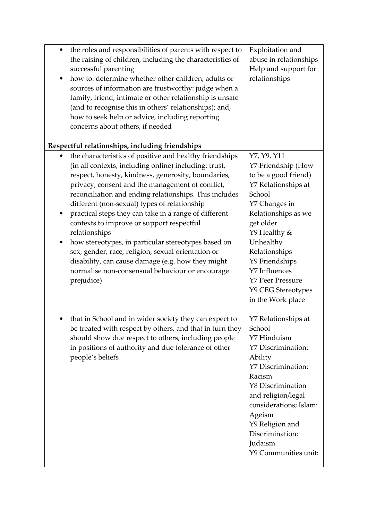| ٠<br>٠                      | the roles and responsibilities of parents with respect to<br>the raising of children, including the characteristics of<br>successful parenting<br>how to: determine whether other children, adults or<br>sources of information are trustworthy: judge when a<br>family, friend, intimate or other relationship is unsafe<br>(and to recognise this in others' relationships); and,<br>how to seek help or advice, including reporting<br>concerns about others, if needed                                                                                                                                                                                                                      | Exploitation and<br>abuse in relationships<br>Help and support for<br>relationships                                                                                                                                                                                                                    |
|-----------------------------|-------------------------------------------------------------------------------------------------------------------------------------------------------------------------------------------------------------------------------------------------------------------------------------------------------------------------------------------------------------------------------------------------------------------------------------------------------------------------------------------------------------------------------------------------------------------------------------------------------------------------------------------------------------------------------------------------|--------------------------------------------------------------------------------------------------------------------------------------------------------------------------------------------------------------------------------------------------------------------------------------------------------|
|                             | Respectful relationships, including friendships                                                                                                                                                                                                                                                                                                                                                                                                                                                                                                                                                                                                                                                 |                                                                                                                                                                                                                                                                                                        |
| $\bullet$<br>٠<br>$\bullet$ | the characteristics of positive and healthy friendships<br>(in all contexts, including online) including: trust,<br>respect, honesty, kindness, generosity, boundaries,<br>privacy, consent and the management of conflict,<br>reconciliation and ending relationships. This includes<br>different (non-sexual) types of relationship<br>practical steps they can take in a range of different<br>contexts to improve or support respectful<br>relationships<br>how stereotypes, in particular stereotypes based on<br>sex, gender, race, religion, sexual orientation or<br>disability, can cause damage (e.g. how they might<br>normalise non-consensual behaviour or encourage<br>prejudice) | Y7, Y9, Y11<br>Y7 Friendship (How<br>to be a good friend)<br>Y7 Relationships at<br>School<br>Y7 Changes in<br>Relationships as we<br>get older<br>Y9 Healthy &<br>Unhealthy<br>Relationships<br>Y9 Friendships<br>Y7 Influences<br><b>Y7 Peer Pressure</b><br>Y9 CEG Stereotypes<br>in the Work place |
|                             | that in School and in wider society they can expect to<br>be treated with respect by others, and that in turn they<br>should show due respect to others, including people<br>in positions of authority and due tolerance of other<br>people's beliefs                                                                                                                                                                                                                                                                                                                                                                                                                                           | Y7 Relationships at<br>School<br>Y7 Hinduism<br><b>Y7 Discrimination:</b><br>Ability<br><b>Y7 Discrimination:</b><br>Racism<br><b>Y8 Discrimination</b><br>and religion/legal<br>considerations; Islam:<br>Ageism<br>Y9 Religion and<br>Discrimination:<br>Judaism<br>Y9 Communities unit:             |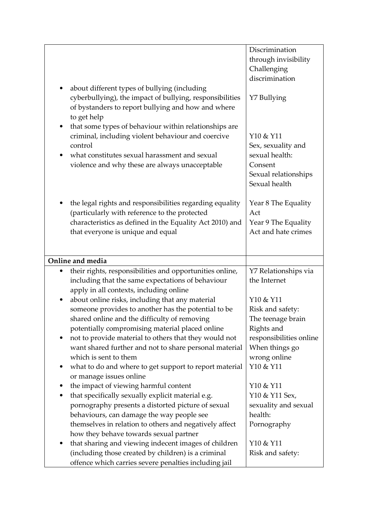|           | about different types of bullying (including<br>cyberbullying), the impact of bullying, responsibilities<br>of bystanders to report bullying and how and where<br>to get help<br>that some types of behaviour within relationships are<br>criminal, including violent behaviour and coercive<br>control<br>what constitutes sexual harassment and sexual<br>violence and why these are always unacceptable | Discrimination<br>through invisibility<br>Challenging<br>discrimination<br>Y7 Bullying<br>Y10 & Y11<br>Sex, sexuality and<br>sexual health:<br>Consent<br>Sexual relationships<br>Sexual health |
|-----------|------------------------------------------------------------------------------------------------------------------------------------------------------------------------------------------------------------------------------------------------------------------------------------------------------------------------------------------------------------------------------------------------------------|-------------------------------------------------------------------------------------------------------------------------------------------------------------------------------------------------|
|           | the legal rights and responsibilities regarding equality<br>(particularly with reference to the protected<br>characteristics as defined in the Equality Act 2010) and<br>that everyone is unique and equal                                                                                                                                                                                                 | Year 8 The Equality<br>Act<br>Year 9 The Equality<br>Act and hate crimes                                                                                                                        |
|           | Online and media                                                                                                                                                                                                                                                                                                                                                                                           |                                                                                                                                                                                                 |
|           | their rights, responsibilities and opportunities online,                                                                                                                                                                                                                                                                                                                                                   | Y7 Relationships via                                                                                                                                                                            |
|           | including that the same expectations of behaviour<br>apply in all contexts, including online                                                                                                                                                                                                                                                                                                               | the Internet                                                                                                                                                                                    |
| $\bullet$ | about online risks, including that any material                                                                                                                                                                                                                                                                                                                                                            | Y10 & Y11                                                                                                                                                                                       |
|           | someone provides to another has the potential to be                                                                                                                                                                                                                                                                                                                                                        | Risk and safety:                                                                                                                                                                                |
|           | shared online and the difficulty of removing                                                                                                                                                                                                                                                                                                                                                               | The teenage brain                                                                                                                                                                               |
|           | potentially compromising material placed online                                                                                                                                                                                                                                                                                                                                                            | Rights and                                                                                                                                                                                      |
|           | not to provide material to others that they would not                                                                                                                                                                                                                                                                                                                                                      | responsibilities online                                                                                                                                                                         |
|           | want shared further and not to share personal material                                                                                                                                                                                                                                                                                                                                                     | When things go                                                                                                                                                                                  |
|           | which is sent to them                                                                                                                                                                                                                                                                                                                                                                                      | wrong online                                                                                                                                                                                    |
|           | what to do and where to get support to report material<br>or manage issues online                                                                                                                                                                                                                                                                                                                          | Y10 & Y11                                                                                                                                                                                       |
|           | the impact of viewing harmful content                                                                                                                                                                                                                                                                                                                                                                      | Y10 & Y11                                                                                                                                                                                       |
|           | that specifically sexually explicit material e.g.                                                                                                                                                                                                                                                                                                                                                          | Y10 & Y11 Sex,                                                                                                                                                                                  |
|           | pornography presents a distorted picture of sexual                                                                                                                                                                                                                                                                                                                                                         | sexuality and sexual                                                                                                                                                                            |
|           | behaviours, can damage the way people see                                                                                                                                                                                                                                                                                                                                                                  | health:                                                                                                                                                                                         |
|           | themselves in relation to others and negatively affect                                                                                                                                                                                                                                                                                                                                                     | Pornography                                                                                                                                                                                     |
|           | how they behave towards sexual partner                                                                                                                                                                                                                                                                                                                                                                     |                                                                                                                                                                                                 |
|           | that sharing and viewing indecent images of children                                                                                                                                                                                                                                                                                                                                                       | Y10 & Y11                                                                                                                                                                                       |
|           | (including those created by children) is a criminal                                                                                                                                                                                                                                                                                                                                                        | Risk and safety:                                                                                                                                                                                |
|           | offence which carries severe penalties including jail                                                                                                                                                                                                                                                                                                                                                      |                                                                                                                                                                                                 |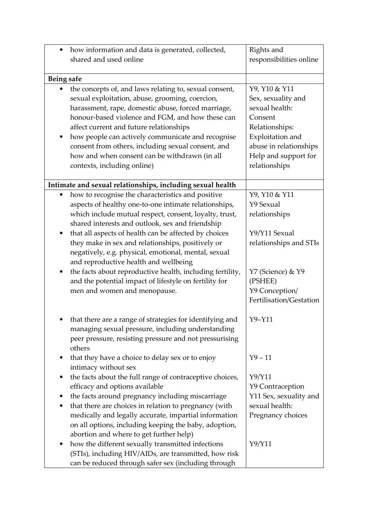| ٠          | how information and data is generated, collected,          | Rights and              |
|------------|------------------------------------------------------------|-------------------------|
|            | shared and used online                                     | responsibilities online |
|            |                                                            |                         |
| Being safe |                                                            |                         |
|            | the concepts of, and laws relating to, sexual consent,     | Y9, Y10 & Y11           |
|            | sexual exploitation, abuse, grooming, coercion,            | Sex, sexuality and      |
|            | harassment, rape, domestic abuse, forced marriage,         | sexual health:          |
|            | honour-based violence and FGM, and how these can           | Consent                 |
|            | affect current and future relationships                    | Relationships:          |
|            | how people can actively communicate and recognise          | Exploitation and        |
|            | consent from others, including sexual consent, and         | abuse in relationships  |
|            | how and when consent can be withdrawn (in all              | Help and support for    |
|            | contexts, including online)                                | relationships           |
|            |                                                            |                         |
|            | Intimate and sexual relationships, including sexual health |                         |
|            | how to recognise the characteristics and positive          | Y9, Y10 & Y11           |
|            | aspects of healthy one-to-one intimate relationships,      | Y9 Sexual               |
|            | which include mutual respect, consent, loyalty, trust,     | relationships           |
|            | shared interests and outlook, sex and friendship           |                         |
| ٠          | that all aspects of health can be affected by choices      | Y9/Y11 Sexual           |
|            | they make in sex and relationships, positively or          | relationships and STIs  |
|            | negatively, e.g. physical, emotional, mental, sexual       |                         |
|            | and reproductive health and wellbeing                      |                         |
| $\bullet$  | the facts about reproductive health, including fertility,  | Y7 (Science) & Y9       |
|            | and the potential impact of lifestyle on fertility for     | (PSHEE)                 |
|            | men and women and menopause.                               | Y9 Conception/          |
|            |                                                            | Fertilisation/Gestation |
|            |                                                            |                         |
|            | • that there are a range of strategies for identifying and | $Y9 - Y11$              |
|            | managing sexual pressure, including understanding          |                         |
|            | peer pressure, resisting pressure and not pressurising     |                         |
|            | others                                                     |                         |
| ٠          | that they have a choice to delay sex or to enjoy           | $Y9 - 11$               |
|            | intimacy without sex                                       |                         |
| ٠          | the facts about the full range of contraceptive choices,   | Y9/Y11                  |
|            | efficacy and options available                             | Y9 Contraception        |
|            | the facts around pregnancy including miscarriage           | Y11 Sex, sexuality and  |
| ٠          | that there are choices in relation to pregnancy (with      | sexual health:          |
|            | medically and legally accurate, impartial information      | Pregnancy choices       |
|            | on all options, including keeping the baby, adoption,      |                         |
|            | abortion and where to get further help)                    |                         |
|            | how the different sexually transmitted infections          | Y9/Y11                  |
|            | (STIs), including HIV/AIDs, are transmitted, how risk      |                         |
|            | can be reduced through safer sex (including through        |                         |